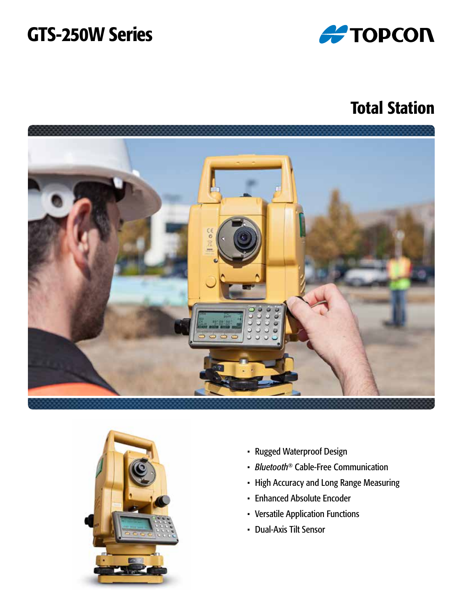# GTS-250W Series



## Total Station





- Rugged Waterproof Design
- *Bluetooth*® Cable-Free Communication
- High Accuracy and Long Range Measuring
- Enhanced Absolute Encoder
- Versatile Application Functions
- Dual-Axis Tilt Sensor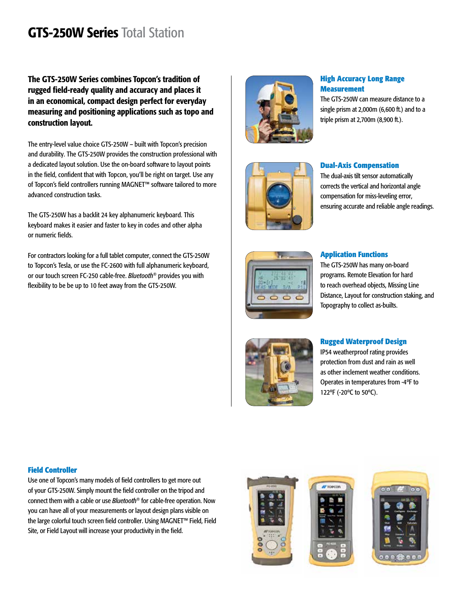## GTS-250W Series Total Station

The GTS-250W Series combines Topcon's tradition of rugged field-ready quality and accuracy and places it in an economical, compact design perfect for everyday measuring and positioning applications such as topo and construction layout.

The entry-level value choice GTS-250W – built with Topcon's precision and durability. The GTS-250W provides the construction professional with a dedicated layout solution. Use the on-board software to layout points in the field, confident that with Topcon, you'll be right on target. Use any of Topcon's field controllers running MAGNET™ software tailored to more advanced construction tasks.

The GTS-250W has a backlit 24 key alphanumeric keyboard. This keyboard makes it easier and faster to key in codes and other alpha or numeric fields.

For contractors looking for a full tablet computer, connect the GTS-250W to Topcon's Tesla, or use the FC-2600 with full alphanumeric keyboard, or our touch screen FC-250 cable-free. *Bluetooth*® provides you with flexibility to be be up to 10 feet away from the GTS-250W.



#### **High Accuracy Long Range Measurement**

The GTS-250W can measure distance to a single prism at 2,000m (6,600 ft.) and to a triple prism at 2,700m (8,900 ft.).



#### **Dual-Axis Compensation**

The dual-axis tilt sensor automatically corrects the vertical and horizontal angle compensation for miss-leveling error, ensuring accurate and reliable angle readings.



#### **Application Functions**

The GTS-250W has many on-board programs. Remote Elevation for hard to reach overhead objects, Missing Line Distance, Layout for construction staking, and Topography to collect as-builts.



#### **Rugged Waterproof Design**

IP54 weatherproof rating provides protection from dust and rain as well as other inclement weather conditions. Operates in temperatures from -4ºF to 122ºF (-20ºC to 50ºC).

#### **Field Controller**

Use one of Topcon's many models of field controllers to get more out of your GTS-250W. Simply mount the field controller on the tripod and connect them with a cable or use *Bluetooth*® for cable-free operation. Now you can have all of your measurements or layout design plans visible on the large colorful touch screen field controller. Using MAGNET™ Field, Field Site, or Field Layout will increase your productivity in the field.





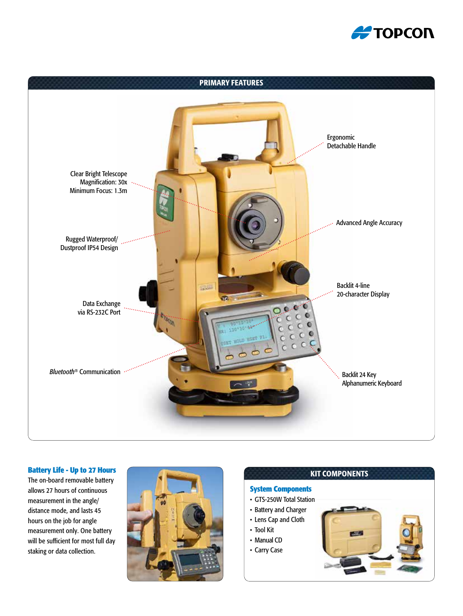



#### **Battery Life - Up to 27 Hours**

The on-board removable battery allows 27 hours of continuous measurement in the angle/ distance mode, and lasts 45 hours on the job for angle measurement only. One battery will be sufficient for most full day staking or data collection.